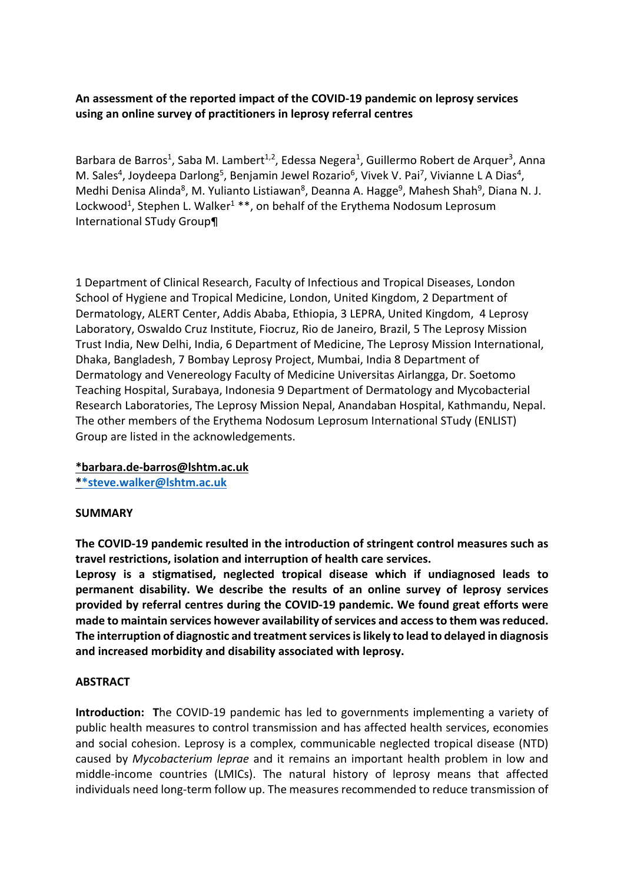# **An assessment of the reported impact of the COVID-19 pandemic on leprosy services using an online survey of practitioners in leprosy referral centres**

Barbara de Barros<sup>1</sup>, Saba M. Lambert<sup>1,2</sup>, Edessa Negera<sup>1</sup>, Guillermo Robert de Arquer<sup>3</sup>, Anna M. Sales<sup>4</sup>, Joydeepa Darlong<sup>5</sup>, Benjamin Jewel Rozario<sup>6</sup>, Vivek V. Pai<sup>7</sup>, Vivianne L A Dias<sup>4</sup>, Medhi Denisa Alinda<sup>8</sup>, M. Yulianto Listiawan<sup>8</sup>, Deanna A. Hagge<sup>9</sup>, Mahesh Shah<sup>9</sup>, Diana N. J. Lockwood<sup>1</sup>, Stephen L. Walker<sup>1</sup> \*\*, on behalf of the Erythema Nodosum Leprosum International STudy Group¶

1 Department of Clinical Research, Faculty of Infectious and Tropical Diseases, London School of Hygiene and Tropical Medicine, London, United Kingdom, 2 Department of Dermatology, ALERT Center, Addis Ababa, Ethiopia, 3 LEPRA, United Kingdom, 4 Leprosy Laboratory, Oswaldo Cruz Institute, Fiocruz, Rio de Janeiro, Brazil, 5 The Leprosy Mission Trust India, New Delhi, India, 6 Department of Medicine, The Leprosy Mission International, Dhaka, Bangladesh, 7 Bombay Leprosy Project, Mumbai, India 8 Department of Dermatology and Venereology Faculty of Medicine Universitas Airlangga, Dr. Soetomo Teaching Hospital, Surabaya, Indonesia 9 Department of Dermatology and Mycobacterial Research Laboratories, The Leprosy Mission Nepal, Anandaban Hospital, Kathmandu, Nepal. The other members of the Erythema Nodosum Leprosum International STudy (ENLIST) Group are listed in the acknowledgements.

#### **\*barbara.de-barros@lshtm.ac.uk**

**\*\*steve.walker@lshtm.ac.uk**

#### **SUMMARY**

**The COVID-19 pandemic resulted in the introduction of stringent control measures such as travel restrictions, isolation and interruption of health care services.**

**Leprosy is a stigmatised, neglected tropical disease which if undiagnosed leads to permanent disability. We describe the results of an online survey of leprosy services provided by referral centres during the COVID-19 pandemic. We found great efforts were made to maintain services however availability of services and access to them was reduced. The interruption of diagnostic and treatment services is likely to lead to delayed in diagnosis and increased morbidity and disability associated with leprosy.**

#### **ABSTRACT**

**Introduction: T**he COVID-19 pandemic has led to governments implementing a variety of public health measures to control transmission and has affected health services, economies and social cohesion. Leprosy is a complex, communicable neglected tropical disease (NTD) caused by *Mycobacterium leprae* and it remains an important health problem in low and middle-income countries (LMICs). The natural history of leprosy means that affected individuals need long-term follow up. The measures recommended to reduce transmission of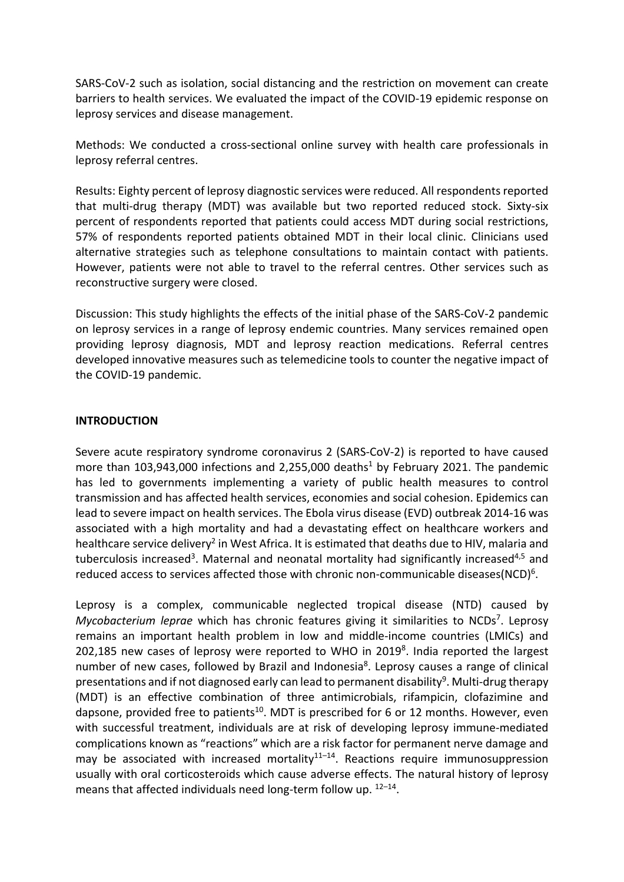SARS-CoV-2 such as isolation, social distancing and the restriction on movement can create barriers to health services. We evaluated the impact of the COVID-19 epidemic response on leprosy services and disease management.

Methods: We conducted a cross-sectional online survey with health care professionals in leprosy referral centres.

Results: Eighty percent of leprosy diagnostic services were reduced. All respondents reported that multi-drug therapy (MDT) was available but two reported reduced stock. Sixty-six percent of respondents reported that patients could access MDT during social restrictions, 57% of respondents reported patients obtained MDT in their local clinic. Clinicians used alternative strategies such as telephone consultations to maintain contact with patients. However, patients were not able to travel to the referral centres. Other services such as reconstructive surgery were closed.

Discussion: This study highlights the effects of the initial phase of the SARS-CoV-2 pandemic on leprosy services in a range of leprosy endemic countries. Many services remained open providing leprosy diagnosis, MDT and leprosy reaction medications. Referral centres developed innovative measures such as telemedicine tools to counter the negative impact of the COVID-19 pandemic.

#### **INTRODUCTION**

Severe acute respiratory syndrome coronavirus 2 (SARS-CoV-2) is reported to have caused more than  $103,943,000$  infections and 2,255,000 deaths<sup>1</sup> by February 2021. The pandemic has led to governments implementing a variety of public health measures to control transmission and has affected health services, economies and social cohesion. Epidemics can lead to severe impact on health services. The Ebola virus disease (EVD) outbreak 2014-16 was associated with a high mortality and had a devastating effect on healthcare workers and healthcare service delivery<sup>2</sup> in West Africa. It is estimated that deaths due to HIV, malaria and tuberculosis increased<sup>3</sup>. Maternal and neonatal mortality had significantly increased<sup>4,5</sup> and reduced access to services affected those with chronic non-communicable diseases(NCD)<sup>6</sup>.

Leprosy is a complex, communicable neglected tropical disease (NTD) caused by Mycobacterium leprae which has chronic features giving it similarities to NCDs<sup>7</sup>. Leprosy remains an important health problem in low and middle-income countries (LMICs) and 202,185 new cases of leprosy were reported to WHO in 2019<sup>8</sup>. India reported the largest number of new cases, followed by Brazil and Indonesia<sup>8</sup>. Leprosy causes a range of clinical presentations and if not diagnosed early can lead to permanent disability<sup>9</sup>. Multi-drug therapy (MDT) is an effective combination of three antimicrobials, rifampicin, clofazimine and dapsone, provided free to patients<sup>10</sup>. MDT is prescribed for 6 or 12 months. However, even with successful treatment, individuals are at risk of developing leprosy immune-mediated complications known as "reactions" which are a risk factor for permanent nerve damage and may be associated with increased mortality $1^{1-14}$ . Reactions require immunosuppression usually with oral corticosteroids which cause adverse effects. The natural history of leprosy means that affected individuals need long-term follow up.  $12-14$ .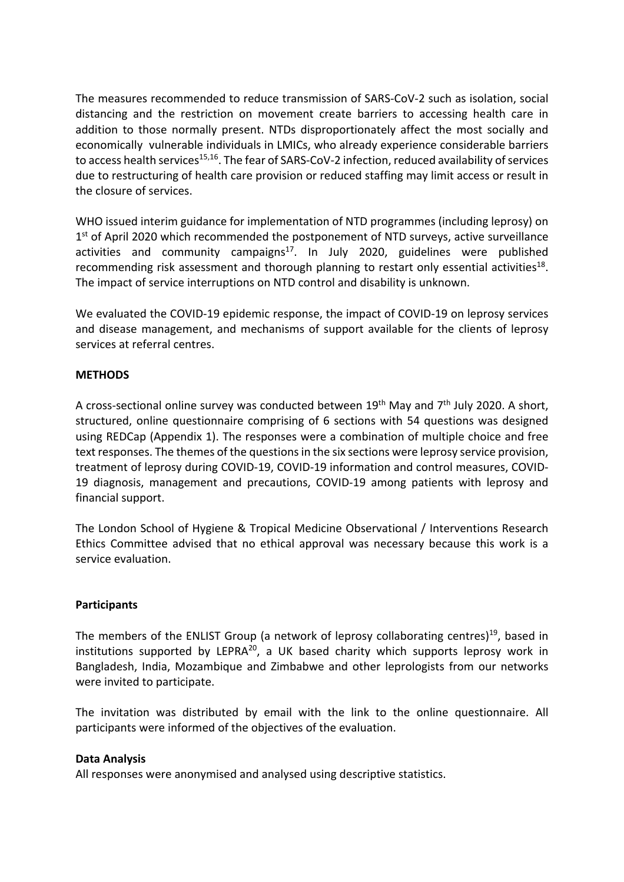The measures recommended to reduce transmission of SARS-CoV-2 such as isolation, social distancing and the restriction on movement create barriers to accessing health care in addition to those normally present. NTDs disproportionately affect the most socially and economically vulnerable individuals in LMICs, who already experience considerable barriers to access health services<sup>15,16</sup>. The fear of SARS-CoV-2 infection, reduced availability of services due to restructuring of health care provision or reduced staffing may limit access or result in the closure of services.

WHO issued interim guidance for implementation of NTD programmes (including leprosy) on  $1<sup>st</sup>$  of April 2020 which recommended the postponement of NTD surveys, active surveillance activities and community campaigns<sup>17</sup>. In July 2020, guidelines were published recommending risk assessment and thorough planning to restart only essential activities<sup>18</sup>. The impact of service interruptions on NTD control and disability is unknown.

We evaluated the COVID-19 epidemic response, the impact of COVID-19 on leprosy services and disease management, and mechanisms of support available for the clients of leprosy services at referral centres.

## **METHODS**

A cross-sectional online survey was conducted between  $19<sup>th</sup>$  May and  $7<sup>th</sup>$  July 2020. A short, structured, online questionnaire comprising of 6 sections with 54 questions was designed using REDCap (Appendix 1). The responses were a combination of multiple choice and free text responses. The themes of the questions in the six sections were leprosy service provision, treatment of leprosy during COVID-19, COVID-19 information and control measures, COVID-19 diagnosis, management and precautions, COVID-19 among patients with leprosy and financial support.

The London School of Hygiene & Tropical Medicine Observational / Interventions Research Ethics Committee advised that no ethical approval was necessary because this work is a service evaluation.

#### **Participants**

The members of the ENLIST Group (a network of leprosy collaborating centres)<sup>19</sup>, based in institutions supported by LEPRA $^{20}$ , a UK based charity which supports leprosy work in Bangladesh, India, Mozambique and Zimbabwe and other leprologists from our networks were invited to participate.

The invitation was distributed by email with the link to the online questionnaire. All participants were informed of the objectives of the evaluation.

#### **Data Analysis**

All responses were anonymised and analysed using descriptive statistics.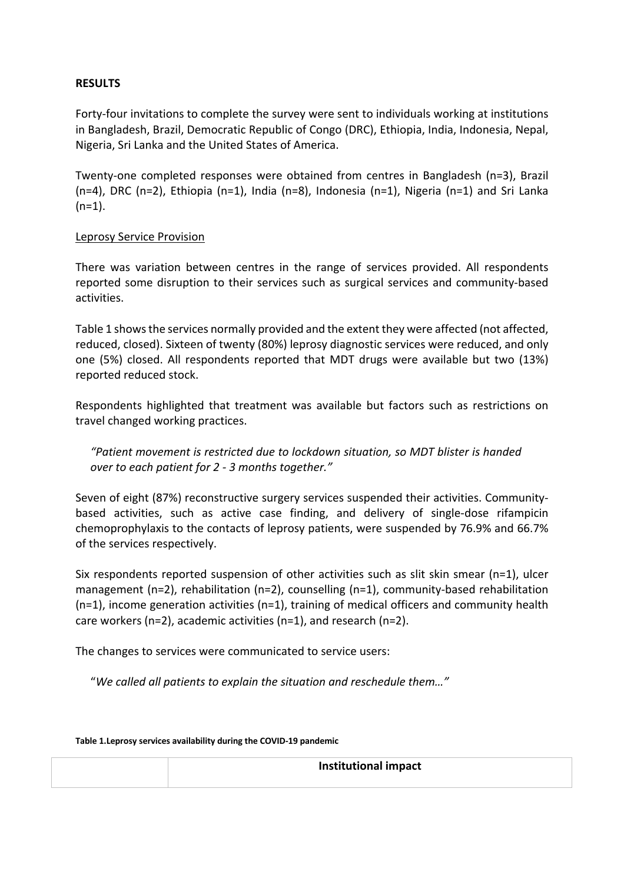### **RESULTS**

Forty-four invitations to complete the survey were sent to individuals working at institutions in Bangladesh, Brazil, Democratic Republic of Congo (DRC), Ethiopia, India, Indonesia, Nepal, Nigeria, Sri Lanka and the United States of America.

Twenty-one completed responses were obtained from centres in Bangladesh (n=3), Brazil (n=4), DRC (n=2), Ethiopia (n=1), India (n=8), Indonesia (n=1), Nigeria (n=1) and Sri Lanka  $(n=1)$ .

#### Leprosy Service Provision

There was variation between centres in the range of services provided. All respondents reported some disruption to their services such as surgical services and community-based activities.

Table 1 shows the services normally provided and the extent they were affected (not affected, reduced, closed). Sixteen of twenty (80%) leprosy diagnostic services were reduced, and only one (5%) closed. All respondents reported that MDT drugs were available but two (13%) reported reduced stock.

Respondents highlighted that treatment was available but factors such as restrictions on travel changed working practices.

*"Patient movement is restricted due to lockdown situation, so MDT blister is handed over to each patient for 2 - 3 months together."*

Seven of eight (87%) reconstructive surgery services suspended their activities. Communitybased activities, such as active case finding, and delivery of single-dose rifampicin chemoprophylaxis to the contacts of leprosy patients, were suspended by 76.9% and 66.7% of the services respectively.

Six respondents reported suspension of other activities such as slit skin smear (n=1), ulcer management (n=2), rehabilitation (n=2), counselling (n=1), community-based rehabilitation  $(n=1)$ , income generation activities  $(n=1)$ , training of medical officers and community health care workers (n=2), academic activities (n=1), and research (n=2).

The changes to services were communicated to service users:

"*We called all patients to explain the situation and reschedule them…"*

| Table 1. Leprosy services availability during the COVID-19 pandemic |                      |  |
|---------------------------------------------------------------------|----------------------|--|
|                                                                     | Institutional impact |  |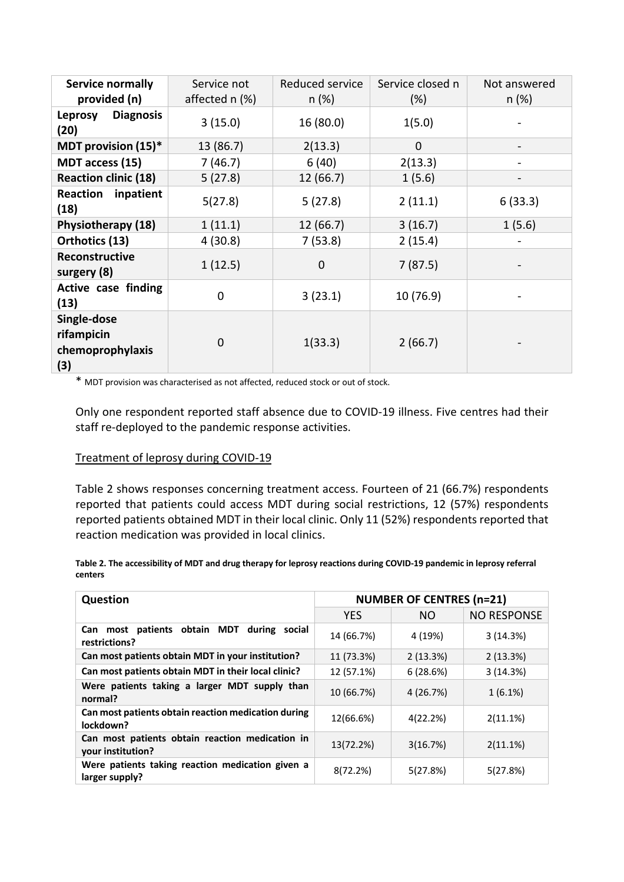| <b>Service normally</b><br>provided (n)              | Service not<br>affected n (%) | Reduced service<br>n (%) | Service closed n<br>$(\%)$ | Not answered<br>$n$ (%) |
|------------------------------------------------------|-------------------------------|--------------------------|----------------------------|-------------------------|
| <b>Diagnosis</b><br><b>Leprosy</b><br>(20)           | 3(15.0)                       | 16(80.0)                 | 1(5.0)                     |                         |
| MDT provision (15)*                                  | 13 (86.7)                     | 2(13.3)                  | $\mathbf 0$                |                         |
| MDT access (15)                                      | 7(46.7)                       | 6(40)                    | 2(13.3)                    |                         |
| <b>Reaction clinic (18)</b>                          | 5(27.8)                       | 12 (66.7)                | 1(5.6)                     |                         |
| <b>Reaction inpatient</b><br>(18)                    | 5(27.8)                       | 5(27.8)                  | 2(11.1)                    | 6(33.3)                 |
| Physiotherapy (18)                                   | 1(11.1)                       | 12(66.7)                 | 3(16.7)                    | 1(5.6)                  |
| Orthotics (13)                                       | 4(30.8)                       | 7(53.8)                  | 2(15.4)                    |                         |
| Reconstructive<br>surgery (8)                        | 1(12.5)                       | $\mathbf 0$              | 7(87.5)                    |                         |
| Active case finding<br>(13)                          | 0                             | 3(23.1)                  | 10 (76.9)                  |                         |
| Single-dose<br>rifampicin<br>chemoprophylaxis<br>(3) | 0                             | 1(33.3)                  | 2(66.7)                    |                         |

\* MDT provision was characterised as not affected, reduced stock or out of stock.

Only one respondent reported staff absence due to COVID-19 illness. Five centres had their staff re-deployed to the pandemic response activities.

#### Treatment of leprosy during COVID-19

Table 2 shows responses concerning treatment access. Fourteen of 21 (66.7%) respondents reported that patients could access MDT during social restrictions, 12 (57%) respondents reported patients obtained MDT in their local clinic. Only 11 (52%) respondents reported that reaction medication was provided in local clinics.

| Table 2. The accessibility of MDT and drug therapy for leprosy reactions during COVID-19 pandemic in leprosy referral |  |
|-----------------------------------------------------------------------------------------------------------------------|--|
| centers                                                                                                               |  |

| <b>Question</b>                                                      | <b>NUMBER OF CENTRES (n=21)</b> |           |             |
|----------------------------------------------------------------------|---------------------------------|-----------|-------------|
|                                                                      | <b>YES</b>                      | NO.       | NO RESPONSE |
| Can most patients obtain MDT<br>during<br>social<br>restrictions?    | 14 (66.7%)                      | 4 (19%)   | 3(14.3%)    |
| Can most patients obtain MDT in your institution?                    | 11 (73.3%)                      | 2(13.3%)  | 2(13.3%)    |
| Can most patients obtain MDT in their local clinic?                  | 12 (57.1%)                      | 6(28.6%)  | 3(14.3%)    |
| Were patients taking a larger MDT supply than<br>normal?             | 10 (66.7%)                      | 4 (26.7%) | $1(6.1\%)$  |
| Can most patients obtain reaction medication during<br>lockdown?     | 12(66.6%)                       | 4(22.2%)  | 2(11.1%)    |
| Can most patients obtain reaction medication in<br>your institution? | 13(72.2%)                       | 3(16.7%)  | 2(11.1%)    |
| Were patients taking reaction medication given a<br>larger supply?   | 8(72.2%)                        | 5(27.8%)  | 5(27.8%)    |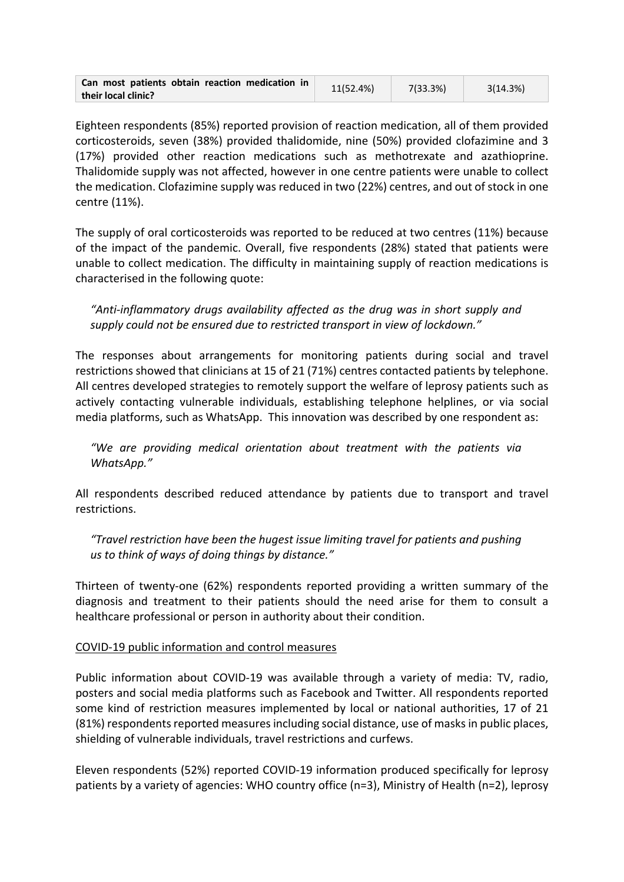| Can most patients obtain reaction medication in | 11(52.4%) | 7(33.3%) | 3(14.3%) |
|-------------------------------------------------|-----------|----------|----------|
| their local clinic?                             |           |          |          |

Eighteen respondents (85%) reported provision of reaction medication, all of them provided corticosteroids, seven (38%) provided thalidomide, nine (50%) provided clofazimine and 3 (17%) provided other reaction medications such as methotrexate and azathioprine. Thalidomide supply was not affected, however in one centre patients were unable to collect the medication. Clofazimine supply was reduced in two (22%) centres, and out of stock in one centre (11%).

The supply of oral corticosteroids was reported to be reduced at two centres (11%) because of the impact of the pandemic. Overall, five respondents (28%) stated that patients were unable to collect medication. The difficulty in maintaining supply of reaction medications is characterised in the following quote:

*"Anti-inflammatory drugs availability affected as the drug was in short supply and supply could not be ensured due to restricted transport in view of lockdown."*

The responses about arrangements for monitoring patients during social and travel restrictions showed that clinicians at 15 of 21 (71%) centres contacted patients by telephone. All centres developed strategies to remotely support the welfare of leprosy patients such as actively contacting vulnerable individuals, establishing telephone helplines, or via social media platforms, such as WhatsApp. This innovation was described by one respondent as:

*"We are providing medical orientation about treatment with the patients via WhatsApp."*

All respondents described reduced attendance by patients due to transport and travel restrictions.

*"Travel restriction have been the hugest issue limiting travel for patients and pushing us to think of ways of doing things by distance."*

Thirteen of twenty-one (62%) respondents reported providing a written summary of the diagnosis and treatment to their patients should the need arise for them to consult a healthcare professional or person in authority about their condition.

#### COVID-19 public information and control measures

Public information about COVID-19 was available through a variety of media: TV, radio, posters and social media platforms such as Facebook and Twitter. All respondents reported some kind of restriction measures implemented by local or national authorities, 17 of 21 (81%) respondents reported measures including social distance, use of masks in public places, shielding of vulnerable individuals, travel restrictions and curfews.

Eleven respondents (52%) reported COVID-19 information produced specifically for leprosy patients by a variety of agencies: WHO country office (n=3), Ministry of Health (n=2), leprosy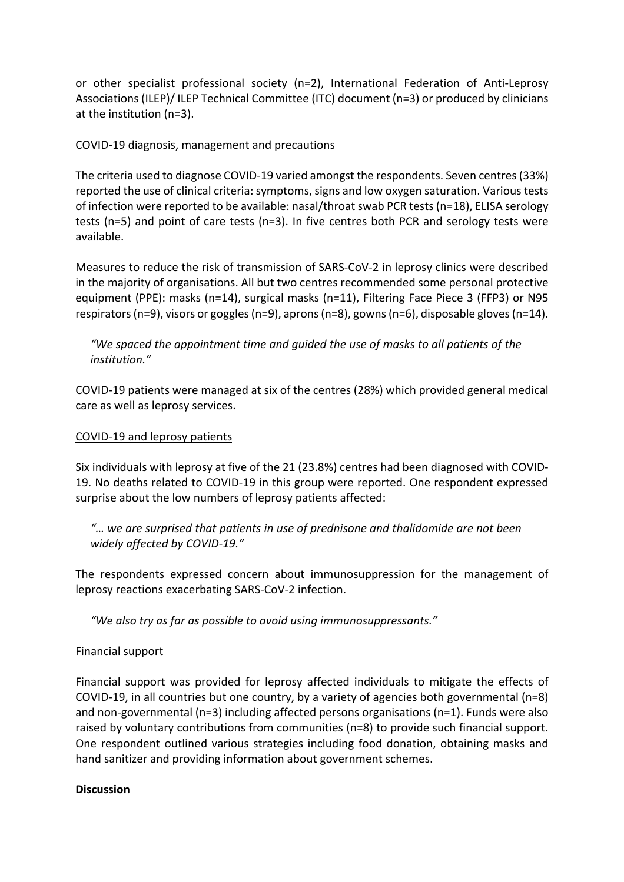or other specialist professional society (n=2), International Federation of Anti-Leprosy Associations (ILEP)/ ILEP Technical Committee (ITC) document (n=3) or produced by clinicians at the institution (n=3).

## COVID-19 diagnosis, management and precautions

The criteria used to diagnose COVID-19 varied amongst the respondents. Seven centres (33%) reported the use of clinical criteria: symptoms, signs and low oxygen saturation. Various tests of infection were reported to be available: nasal/throat swab PCR tests(n=18), ELISA serology tests (n=5) and point of care tests (n=3). In five centres both PCR and serology tests were available.

Measures to reduce the risk of transmission of SARS-CoV-2 in leprosy clinics were described in the majority of organisations. All but two centres recommended some personal protective equipment (PPE): masks (n=14), surgical masks (n=11), Filtering Face Piece 3 (FFP3) or N95 respirators(n=9), visors or goggles (n=9), aprons (n=8), gowns (n=6), disposable gloves (n=14).

*"We spaced the appointment time and guided the use of masks to all patients of the institution."*

COVID-19 patients were managed at six of the centres (28%) which provided general medical care as well as leprosy services.

### COVID-19 and leprosy patients

Six individuals with leprosy at five of the 21 (23.8%) centres had been diagnosed with COVID-19. No deaths related to COVID-19 in this group were reported. One respondent expressed surprise about the low numbers of leprosy patients affected:

*"… we are surprised that patients in use of prednisone and thalidomide are not been widely affected by COVID-19."*

The respondents expressed concern about immunosuppression for the management of leprosy reactions exacerbating SARS-CoV-2 infection.

*"We also try as far as possible to avoid using immunosuppressants."*

#### Financial support

Financial support was provided for leprosy affected individuals to mitigate the effects of COVID-19, in all countries but one country, by a variety of agencies both governmental (n=8) and non-governmental (n=3) including affected persons organisations (n=1). Funds were also raised by voluntary contributions from communities (n=8) to provide such financial support. One respondent outlined various strategies including food donation, obtaining masks and hand sanitizer and providing information about government schemes.

#### **Discussion**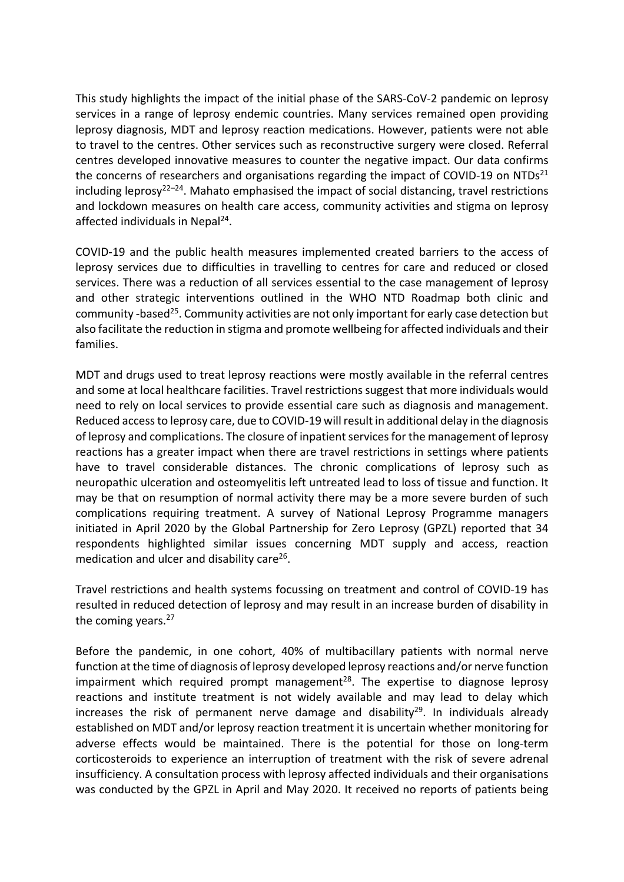This study highlights the impact of the initial phase of the SARS-CoV-2 pandemic on leprosy services in a range of leprosy endemic countries. Many services remained open providing leprosy diagnosis, MDT and leprosy reaction medications. However, patients were not able to travel to the centres. Other services such as reconstructive surgery were closed. Referral centres developed innovative measures to counter the negative impact. Our data confirms the concerns of researchers and organisations regarding the impact of COVID-19 on NTDs<sup>21</sup> including leprosy<sup>22–24</sup>. Mahato emphasised the impact of social distancing, travel restrictions and lockdown measures on health care access, community activities and stigma on leprosy affected individuals in Nepal<sup>24</sup>.

COVID-19 and the public health measures implemented created barriers to the access of leprosy services due to difficulties in travelling to centres for care and reduced or closed services. There was a reduction of all services essential to the case management of leprosy and other strategic interventions outlined in the WHO NTD Roadmap both clinic and community -based<sup>25</sup>. Community activities are not only important for early case detection but also facilitate the reduction in stigma and promote wellbeing for affected individuals and their families.

MDT and drugs used to treat leprosy reactions were mostly available in the referral centres and some at local healthcare facilities. Travel restrictions suggest that more individuals would need to rely on local services to provide essential care such as diagnosis and management. Reduced access to leprosy care, due to COVID-19 will result in additional delay in the diagnosis of leprosy and complications. The closure of inpatient services for the management of leprosy reactions has a greater impact when there are travel restrictions in settings where patients have to travel considerable distances. The chronic complications of leprosy such as neuropathic ulceration and osteomyelitis left untreated lead to loss of tissue and function. It may be that on resumption of normal activity there may be a more severe burden of such complications requiring treatment. A survey of National Leprosy Programme managers initiated in April 2020 by the Global Partnership for Zero Leprosy (GPZL) reported that 34 respondents highlighted similar issues concerning MDT supply and access, reaction medication and ulcer and disability care $^{26}$ .

Travel restrictions and health systems focussing on treatment and control of COVID-19 has resulted in reduced detection of leprosy and may result in an increase burden of disability in the coming years. $27$ 

Before the pandemic, in one cohort, 40% of multibacillary patients with normal nerve function at the time of diagnosis of leprosy developed leprosy reactions and/or nerve function impairment which required prompt management<sup>28</sup>. The expertise to diagnose leprosy reactions and institute treatment is not widely available and may lead to delay which increases the risk of permanent nerve damage and disability<sup>29</sup>. In individuals already established on MDT and/or leprosy reaction treatment it is uncertain whether monitoring for adverse effects would be maintained. There is the potential for those on long-term corticosteroids to experience an interruption of treatment with the risk of severe adrenal insufficiency. A consultation process with leprosy affected individuals and their organisations was conducted by the GPZL in April and May 2020. It received no reports of patients being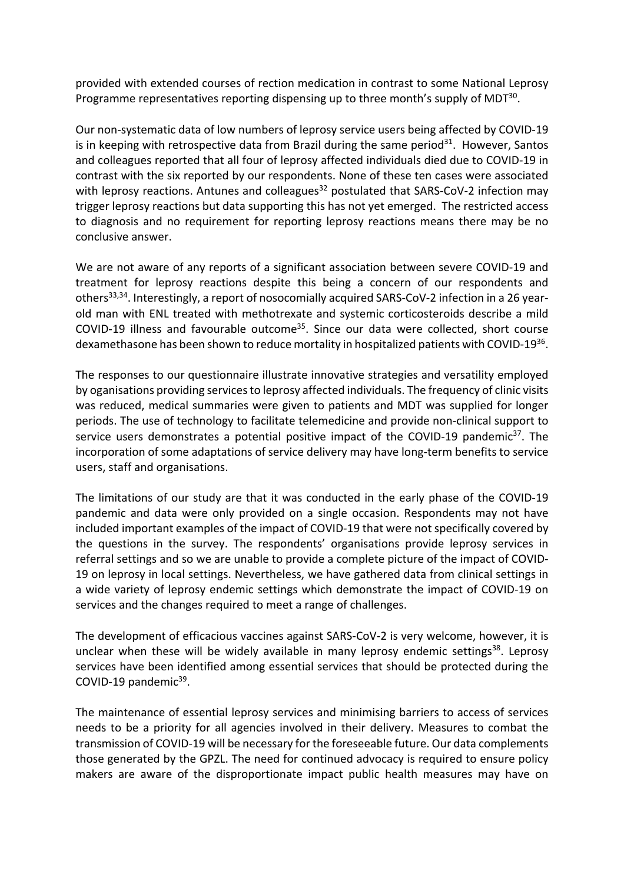provided with extended courses of rection medication in contrast to some National Leprosy Programme representatives reporting dispensing up to three month's supply of MDT<sup>30</sup>.

Our non-systematic data of low numbers of leprosy service users being affected by COVID-19 is in keeping with retrospective data from Brazil during the same period<sup>31</sup>. However, Santos and colleagues reported that all four of leprosy affected individuals died due to COVID-19 in contrast with the six reported by our respondents. None of these ten cases were associated with leprosy reactions. Antunes and colleagues<sup>32</sup> postulated that SARS-CoV-2 infection may trigger leprosy reactions but data supporting this has not yet emerged. The restricted access to diagnosis and no requirement for reporting leprosy reactions means there may be no conclusive answer.

We are not aware of any reports of a significant association between severe COVID-19 and treatment for leprosy reactions despite this being a concern of our respondents and others<sup>33,34</sup>. Interestingly, a report of nosocomially acquired SARS-CoV-2 infection in a 26 yearold man with ENL treated with methotrexate and systemic corticosteroids describe a mild COVID-19 illness and favourable outcome35. Since our data were collected, short course dexamethasone has been shown to reduce mortality in hospitalized patients with COVID-1936.

The responses to our questionnaire illustrate innovative strategies and versatility employed by oganisations providing services to leprosy affected individuals. The frequency of clinic visits was reduced, medical summaries were given to patients and MDT was supplied for longer periods. The use of technology to facilitate telemedicine and provide non-clinical support to service users demonstrates a potential positive impact of the COVID-19 pandemic<sup>37</sup>. The incorporation of some adaptations of service delivery may have long-term benefits to service users, staff and organisations.

The limitations of our study are that it was conducted in the early phase of the COVID-19 pandemic and data were only provided on a single occasion. Respondents may not have included important examples of the impact of COVID-19 that were not specifically covered by the questions in the survey. The respondents' organisations provide leprosy services in referral settings and so we are unable to provide a complete picture of the impact of COVID-19 on leprosy in local settings. Nevertheless, we have gathered data from clinical settings in a wide variety of leprosy endemic settings which demonstrate the impact of COVID-19 on services and the changes required to meet a range of challenges.

The development of efficacious vaccines against SARS-CoV-2 is very welcome, however, it is unclear when these will be widely available in many leprosy endemic settings<sup>38</sup>. Leprosy services have been identified among essential services that should be protected during the COVID-19 pandemic<sup>39</sup>.

The maintenance of essential leprosy services and minimising barriers to access of services needs to be a priority for all agencies involved in their delivery. Measures to combat the transmission of COVID-19 will be necessary for the foreseeable future. Our data complements those generated by the GPZL. The need for continued advocacy is required to ensure policy makers are aware of the disproportionate impact public health measures may have on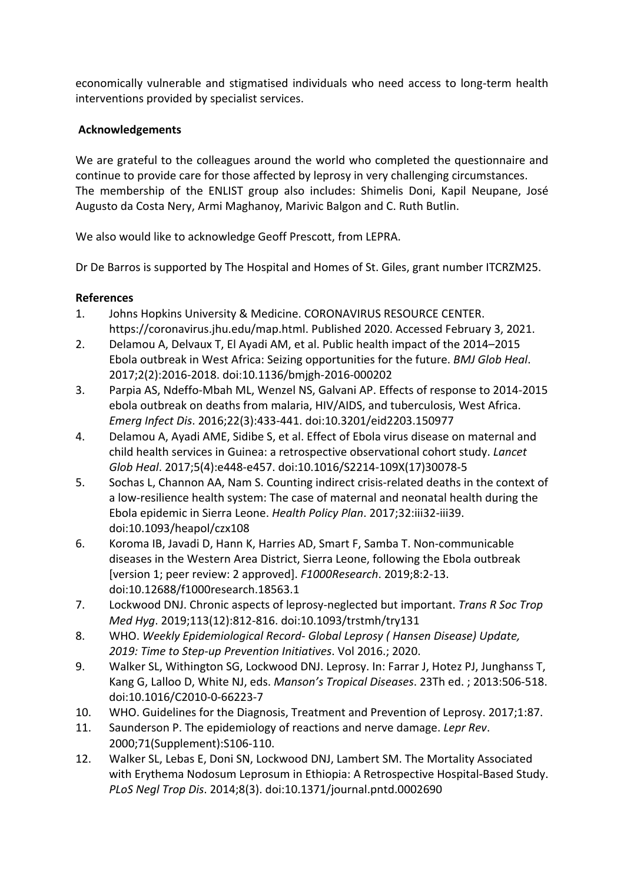economically vulnerable and stigmatised individuals who need access to long-term health interventions provided by specialist services.

## **Acknowledgements**

We are grateful to the colleagues around the world who completed the questionnaire and continue to provide care for those affected by leprosy in very challenging circumstances. The membership of the ENLIST group also includes: Shimelis Doni, Kapil Neupane, José Augusto da Costa Nery, Armi Maghanoy, Marivic Balgon and C. Ruth Butlin.

We also would like to acknowledge Geoff Prescott, from LEPRA.

Dr De Barros is supported by The Hospital and Homes of St. Giles, grant number ITCRZM25.

# **References**

- 1. Johns Hopkins University & Medicine. CORONAVIRUS RESOURCE CENTER. https://coronavirus.jhu.edu/map.html. Published 2020. Accessed February 3, 2021.
- 2. Delamou A, Delvaux T, El Ayadi AM, et al. Public health impact of the 2014–2015 Ebola outbreak in West Africa: Seizing opportunities for the future. *BMJ Glob Heal*. 2017;2(2):2016-2018. doi:10.1136/bmjgh-2016-000202
- 3. Parpia AS, Ndeffo-Mbah ML, Wenzel NS, Galvani AP. Effects of response to 2014-2015 ebola outbreak on deaths from malaria, HIV/AIDS, and tuberculosis, West Africa. *Emerg Infect Dis*. 2016;22(3):433-441. doi:10.3201/eid2203.150977
- 4. Delamou A, Ayadi AME, Sidibe S, et al. Effect of Ebola virus disease on maternal and child health services in Guinea: a retrospective observational cohort study. *Lancet Glob Heal*. 2017;5(4):e448-e457. doi:10.1016/S2214-109X(17)30078-5
- 5. Sochas L, Channon AA, Nam S. Counting indirect crisis-related deaths in the context of a low-resilience health system: The case of maternal and neonatal health during the Ebola epidemic in Sierra Leone. *Health Policy Plan*. 2017;32:iii32-iii39. doi:10.1093/heapol/czx108
- 6. Koroma IB, Javadi D, Hann K, Harries AD, Smart F, Samba T. Non-communicable diseases in the Western Area District, Sierra Leone, following the Ebola outbreak [version 1; peer review: 2 approved]. *F1000Research*. 2019;8:2-13. doi:10.12688/f1000research.18563.1
- 7. Lockwood DNJ. Chronic aspects of leprosy-neglected but important. *Trans R Soc Trop Med Hyg*. 2019;113(12):812-816. doi:10.1093/trstmh/try131
- 8. WHO. *Weekly Epidemiological Record- Global Leprosy ( Hansen Disease) Update, 2019: Time to Step-up Prevention Initiatives*. Vol 2016.; 2020.
- 9. Walker SL, Withington SG, Lockwood DNJ. Leprosy. In: Farrar J, Hotez PJ, Junghanss T, Kang G, Lalloo D, White NJ, eds. *Manson's Tropical Diseases*. 23Th ed. ; 2013:506-518. doi:10.1016/C2010-0-66223-7
- 10. WHO. Guidelines for the Diagnosis, Treatment and Prevention of Leprosy. 2017;1:87.
- 11. Saunderson P. The epidemiology of reactions and nerve damage. *Lepr Rev*. 2000;71(Supplement):S106-110.
- 12. Walker SL, Lebas E, Doni SN, Lockwood DNJ, Lambert SM. The Mortality Associated with Erythema Nodosum Leprosum in Ethiopia: A Retrospective Hospital-Based Study. *PLoS Negl Trop Dis*. 2014;8(3). doi:10.1371/journal.pntd.0002690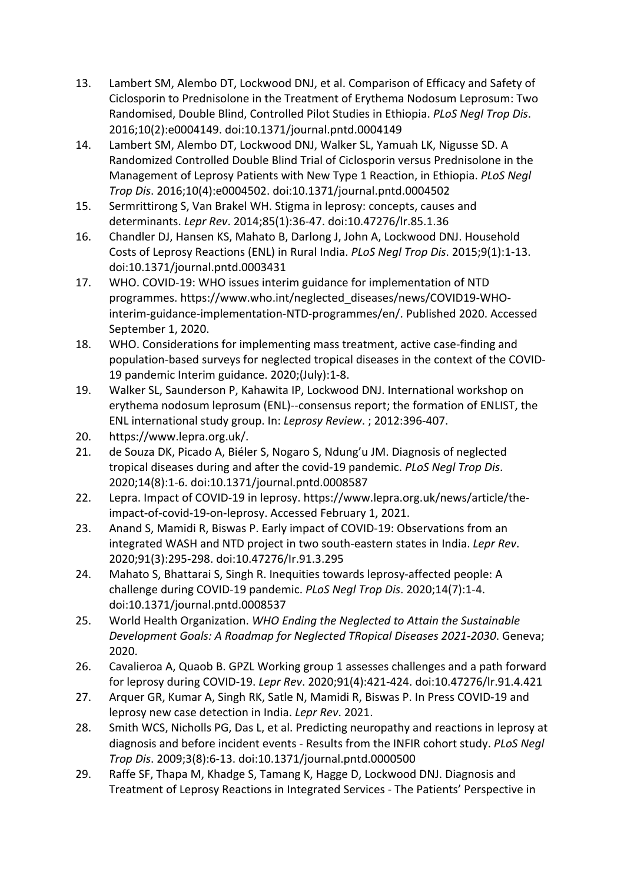- 13. Lambert SM, Alembo DT, Lockwood DNJ, et al. Comparison of Efficacy and Safety of Ciclosporin to Prednisolone in the Treatment of Erythema Nodosum Leprosum: Two Randomised, Double Blind, Controlled Pilot Studies in Ethiopia. *PLoS Negl Trop Dis*. 2016;10(2):e0004149. doi:10.1371/journal.pntd.0004149
- 14. Lambert SM, Alembo DT, Lockwood DNJ, Walker SL, Yamuah LK, Nigusse SD. A Randomized Controlled Double Blind Trial of Ciclosporin versus Prednisolone in the Management of Leprosy Patients with New Type 1 Reaction, in Ethiopia. *PLoS Negl Trop Dis*. 2016;10(4):e0004502. doi:10.1371/journal.pntd.0004502
- 15. Sermrittirong S, Van Brakel WH. Stigma in leprosy: concepts, causes and determinants. *Lepr Rev*. 2014;85(1):36-47. doi:10.47276/lr.85.1.36
- 16. Chandler DJ, Hansen KS, Mahato B, Darlong J, John A, Lockwood DNJ. Household Costs of Leprosy Reactions (ENL) in Rural India. *PLoS Negl Trop Dis*. 2015;9(1):1-13. doi:10.1371/journal.pntd.0003431
- 17. WHO. COVID-19: WHO issues interim guidance for implementation of NTD programmes. https://www.who.int/neglected\_diseases/news/COVID19-WHOinterim-guidance-implementation-NTD-programmes/en/. Published 2020. Accessed September 1, 2020.
- 18. WHO. Considerations for implementing mass treatment, active case-finding and population-based surveys for neglected tropical diseases in the context of the COVID-19 pandemic Interim guidance. 2020;(July):1-8.
- 19. Walker SL, Saunderson P, Kahawita IP, Lockwood DNJ. International workshop on erythema nodosum leprosum (ENL)--consensus report; the formation of ENLIST, the ENL international study group. In: *Leprosy Review*. ; 2012:396-407.
- 20. https://www.lepra.org.uk/.
- 21. de Souza DK, Picado A, Biéler S, Nogaro S, Ndung'u JM. Diagnosis of neglected tropical diseases during and after the covid-19 pandemic. *PLoS Negl Trop Dis*. 2020;14(8):1-6. doi:10.1371/journal.pntd.0008587
- 22. Lepra. Impact of COVID-19 in leprosy. https://www.lepra.org.uk/news/article/theimpact-of-covid-19-on-leprosy. Accessed February 1, 2021.
- 23. Anand S, Mamidi R, Biswas P. Early impact of COVID-19: Observations from an integrated WASH and NTD project in two south-eastern states in India. *Lepr Rev*. 2020;91(3):295-298. doi:10.47276/Ir.91.3.295
- 24. Mahato S, Bhattarai S, Singh R. Inequities towards leprosy-affected people: A challenge during COVID-19 pandemic. *PLoS Negl Trop Dis*. 2020;14(7):1-4. doi:10.1371/journal.pntd.0008537
- 25. World Health Organization. *WHO Ending the Neglected to Attain the Sustainable Development Goals: A Roadmap for Neglected TRopical Diseases 2021-2030*. Geneva; 2020.
- 26. Cavalieroa A, Quaob B. GPZL Working group 1 assesses challenges and a path forward for leprosy during COVID-19. *Lepr Rev*. 2020;91(4):421-424. doi:10.47276/lr.91.4.421
- 27. Arquer GR, Kumar A, Singh RK, Satle N, Mamidi R, Biswas P. In Press COVID-19 and leprosy new case detection in India. *Lepr Rev*. 2021.
- 28. Smith WCS, Nicholls PG, Das L, et al. Predicting neuropathy and reactions in leprosy at diagnosis and before incident events - Results from the INFIR cohort study. *PLoS Negl Trop Dis*. 2009;3(8):6-13. doi:10.1371/journal.pntd.0000500
- 29. Raffe SF, Thapa M, Khadge S, Tamang K, Hagge D, Lockwood DNJ. Diagnosis and Treatment of Leprosy Reactions in Integrated Services - The Patients' Perspective in